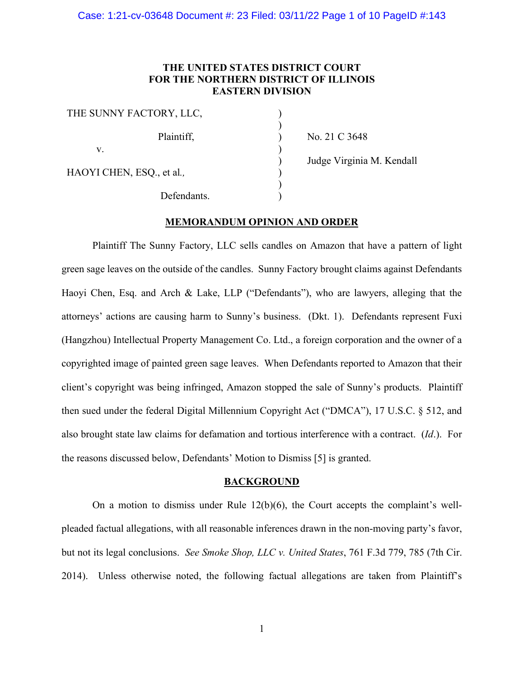## **THE UNITED STATES DISTRICT COURT FOR THE NORTHERN DISTRICT OF ILLINOIS EASTERN DIVISION**

) ) ) ) ) ) ) )

| THE SUNNY FACTORY, LLC,   |  |
|---------------------------|--|
| Plaintiff,                |  |
| v.                        |  |
| HAOYI CHEN, ESQ., et al., |  |
| Defendants.               |  |

No. 21 C 3648

Judge Virginia M. Kendall

# **MEMORANDUM OPINION AND ORDER**

Plaintiff The Sunny Factory, LLC sells candles on Amazon that have a pattern of light green sage leaves on the outside of the candles. Sunny Factory brought claims against Defendants Haoyi Chen, Esq. and Arch & Lake, LLP ("Defendants"), who are lawyers, alleging that the attorneys' actions are causing harm to Sunny's business. (Dkt. 1). Defendants represent Fuxi (Hangzhou) Intellectual Property Management Co. Ltd., a foreign corporation and the owner of a copyrighted image of painted green sage leaves. When Defendants reported to Amazon that their client's copyright was being infringed, Amazon stopped the sale of Sunny's products. Plaintiff then sued under the federal Digital Millennium Copyright Act ("DMCA"), 17 U.S.C. § 512, and also brought state law claims for defamation and tortious interference with a contract. (*Id*.). For the reasons discussed below, Defendants' Motion to Dismiss [5] is granted.

#### **BACKGROUND**

On a motion to dismiss under Rule  $12(b)(6)$ , the Court accepts the complaint's wellpleaded factual allegations, with all reasonable inferences drawn in the non-moving party's favor, but not its legal conclusions. *See Smoke Shop, LLC v. United States*, 761 F.3d 779, 785 (7th Cir. 2014). Unless otherwise noted, the following factual allegations are taken from Plaintiff's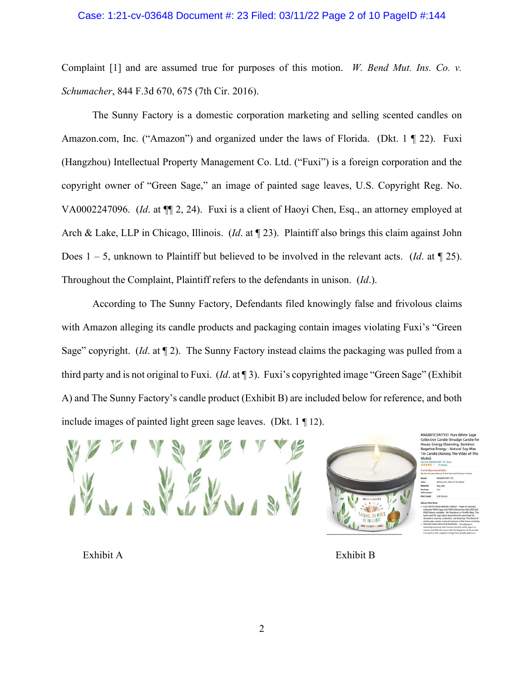## Case: 1:21-cv-03648 Document #: 23 Filed: 03/11/22 Page 2 of 10 PageID #:144

Complaint [1] and are assumed true for purposes of this motion. *W. Bend Mut. Ins. Co. v. Schumacher*, 844 F.3d 670, 675 (7th Cir. 2016).

The Sunny Factory is a domestic corporation marketing and selling scented candles on Amazon.com, Inc. ("Amazon") and organized under the laws of Florida. (Dkt. 1 ¶ 22). Fuxi (Hangzhou) Intellectual Property Management Co. Ltd. ("Fuxi") is a foreign corporation and the copyright owner of "Green Sage," an image of painted sage leaves, U.S. Copyright Reg. No. VA0002247096. (*Id*. at ¶¶ 2, 24).Fuxi is a client of Haoyi Chen, Esq., an attorney employed at Arch & Lake, LLP in Chicago, Illinois. (*Id*. at ¶ 23). Plaintiff also brings this claim against John Does 1 – 5, unknown to Plaintiff but believed to be involved in the relevant acts. (*Id*. at ¶ 25). Throughout the Complaint, Plaintiff refers to the defendants in unison. (*Id*.).

According to The Sunny Factory, Defendants filed knowingly false and frivolous claims with Amazon alleging its candle products and packaging contain images violating Fuxi's "Green Sage" copyright. (*Id*. at ¶ 2). The Sunny Factory instead claims the packaging was pulled from a third party and is not original to Fuxi. (*Id*. at ¶ 3). Fuxi's copyrighted image "Green Sage" (Exhibit A) and The Sunny Factory's candle product (Exhibit B) are included below for reference, and both include images of painted light green sage leaves. (Dkt. 1 ¶ 12).



MAGNIFICENT101 Pure White Sad Collective Candle Smudge Candle House Energy Clea<br>Negative Energy

Exhibit A

Exhibit B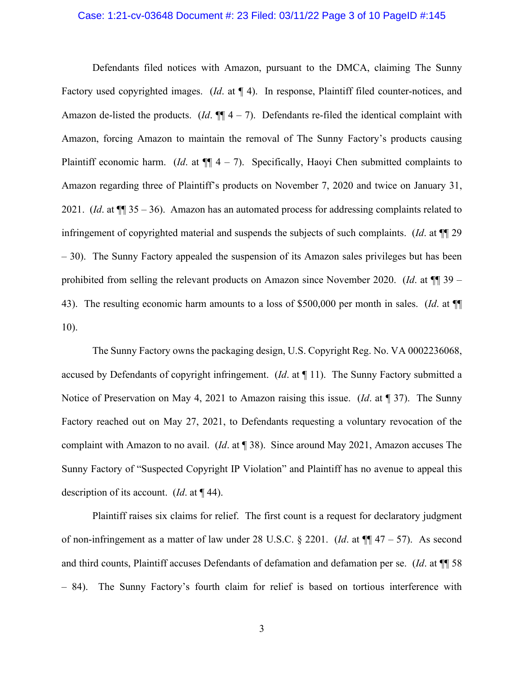### Case: 1:21-cv-03648 Document #: 23 Filed: 03/11/22 Page 3 of 10 PageID #:145

Defendants filed notices with Amazon, pursuant to the DMCA, claiming The Sunny Factory used copyrighted images. (*Id*. at ¶ 4). In response, Plaintiff filed counter-notices, and Amazon de-listed the products.  $(Id. \P\P 4 - 7)$ . Defendants re-filed the identical complaint with Amazon, forcing Amazon to maintain the removal of The Sunny Factory's products causing Plaintiff economic harm. (*Id.* at  $\P$  $[$  4 – 7). Specifically, Haoyi Chen submitted complaints to Amazon regarding three of Plaintiff's products on November 7, 2020 and twice on January 31, 2021. (*Id*. at ¶¶ 35 – 36).Amazon has an automated process for addressing complaints related to infringement of copyrighted material and suspends the subjects of such complaints. (*Id*. at ¶¶ 29 – 30). The Sunny Factory appealed the suspension of its Amazon sales privileges but has been prohibited from selling the relevant products on Amazon since November 2020. (*Id*. at ¶¶ 39 – 43). The resulting economic harm amounts to a loss of \$500,000 per month in sales. (*Id*. at ¶¶ 10).

The Sunny Factory owns the packaging design, U.S. Copyright Reg. No. VA 0002236068, accused by Defendants of copyright infringement. (*Id*. at ¶ 11). The Sunny Factory submitted a Notice of Preservation on May 4, 2021 to Amazon raising this issue. (*Id*. at ¶ 37). The Sunny Factory reached out on May 27, 2021, to Defendants requesting a voluntary revocation of the complaint with Amazon to no avail. (*Id*. at ¶ 38). Since around May 2021, Amazon accuses The Sunny Factory of "Suspected Copyright IP Violation" and Plaintiff has no avenue to appeal this description of its account. (*Id*. at ¶ 44).

Plaintiff raises six claims for relief. The first count is a request for declaratory judgment of non-infringement as a matter of law under 28 U.S.C. § 2201. (*Id*. at ¶¶ 47 – 57). As second and third counts, Plaintiff accuses Defendants of defamation and defamation per se. (*Id*. at ¶¶ 58 – 84). The Sunny Factory's fourth claim for relief is based on tortious interference with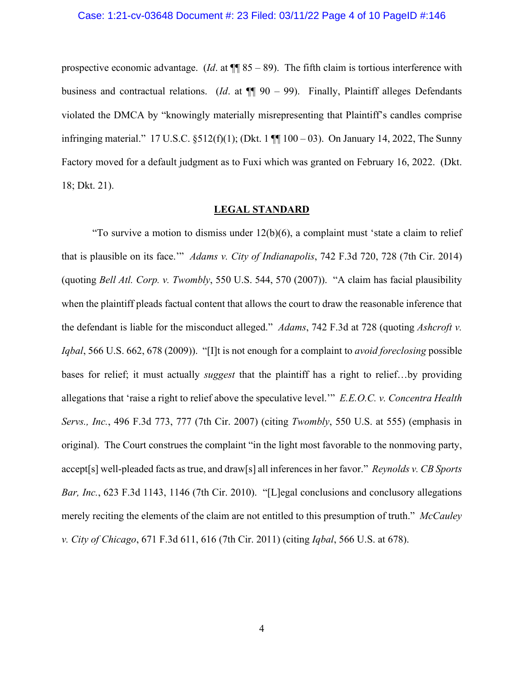#### Case: 1:21-cv-03648 Document #: 23 Filed: 03/11/22 Page 4 of 10 PageID #:146

prospective economic advantage. (*Id.* at  $\P$  85 – 89). The fifth claim is tortious interference with business and contractual relations. (*Id*. at ¶¶ 90 – 99). Finally, Plaintiff alleges Defendants violated the DMCA by "knowingly materially misrepresenting that Plaintiff's candles comprise infringing material." 17 U.S.C.  $\S512(f)(1)$ ; (Dkt. 1  $\P\P$  100 – 03). On January 14, 2022, The Sunny Factory moved for a default judgment as to Fuxi which was granted on February 16, 2022. (Dkt. 18; Dkt. 21).

## **LEGAL STANDARD**

"To survive a motion to dismiss under  $12(b)(6)$ , a complaint must 'state a claim to relief that is plausible on its face.'" *Adams v. City of Indianapolis*, 742 F.3d 720, 728 (7th Cir. 2014) (quoting *Bell Atl. Corp. v. Twombly*, 550 U.S. 544, 570 (2007)). "A claim has facial plausibility when the plaintiff pleads factual content that allows the court to draw the reasonable inference that the defendant is liable for the misconduct alleged." *Adams*, 742 F.3d at 728 (quoting *Ashcroft v. Iqbal*, 566 U.S. 662, 678 (2009)). "[I]t is not enough for a complaint to *avoid foreclosing* possible bases for relief; it must actually *suggest* that the plaintiff has a right to relief…by providing allegations that 'raise a right to relief above the speculative level.'" *E.E.O.C. v. Concentra Health Servs., Inc.*, 496 F.3d 773, 777 (7th Cir. 2007) (citing *Twombly*, 550 U.S. at 555) (emphasis in original). The Court construes the complaint "in the light most favorable to the nonmoving party, accept[s] well-pleaded facts as true, and draw[s] all inferences in her favor." *Reynolds v. CB Sports Bar, Inc.*, 623 F.3d 1143, 1146 (7th Cir. 2010). "[L]egal conclusions and conclusory allegations merely reciting the elements of the claim are not entitled to this presumption of truth." *McCauley v. City of Chicago*, 671 F.3d 611, 616 (7th Cir. 2011) (citing *Iqbal*, 566 U.S. at 678).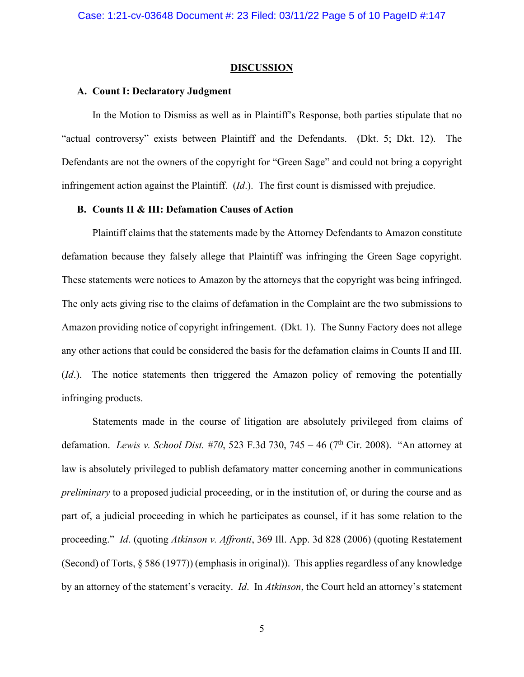#### **DISCUSSION**

#### **A. Count I: Declaratory Judgment**

In the Motion to Dismiss as well as in Plaintiff's Response, both parties stipulate that no "actual controversy" exists between Plaintiff and the Defendants. (Dkt. 5; Dkt. 12). The Defendants are not the owners of the copyright for "Green Sage" and could not bring a copyright infringement action against the Plaintiff. (*Id*.). The first count is dismissed with prejudice.

## **B. Counts II & III: Defamation Causes of Action**

Plaintiff claims that the statements made by the Attorney Defendants to Amazon constitute defamation because they falsely allege that Plaintiff was infringing the Green Sage copyright. These statements were notices to Amazon by the attorneys that the copyright was being infringed. The only acts giving rise to the claims of defamation in the Complaint are the two submissions to Amazon providing notice of copyright infringement. (Dkt. 1). The Sunny Factory does not allege any other actions that could be considered the basis for the defamation claims in Counts II and III. (*Id*.). The notice statements then triggered the Amazon policy of removing the potentially infringing products.

Statements made in the course of litigation are absolutely privileged from claims of defamation. *Lewis v. School Dist. #70*, 523 F.3d 730, 745 – 46 (7<sup>th</sup> Cir. 2008). "An attorney at law is absolutely privileged to publish defamatory matter concerning another in communications *preliminary* to a proposed judicial proceeding, or in the institution of, or during the course and as part of, a judicial proceeding in which he participates as counsel, if it has some relation to the proceeding." *Id*. (quoting *Atkinson v. Affronti*, 369 Ill. App. 3d 828 (2006) (quoting Restatement (Second) of Torts, § 586 (1977)) (emphasis in original)). This applies regardless of any knowledge by an attorney of the statement's veracity. *Id*. In *Atkinson*, the Court held an attorney's statement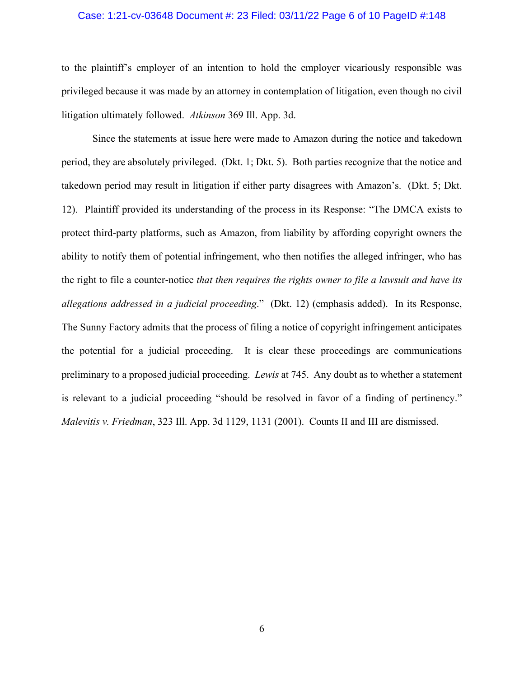### Case: 1:21-cv-03648 Document #: 23 Filed: 03/11/22 Page 6 of 10 PageID #:148

to the plaintiff's employer of an intention to hold the employer vicariously responsible was privileged because it was made by an attorney in contemplation of litigation, even though no civil litigation ultimately followed. *Atkinson* 369 Ill. App. 3d.

Since the statements at issue here were made to Amazon during the notice and takedown period, they are absolutely privileged. (Dkt. 1; Dkt. 5). Both parties recognize that the notice and takedown period may result in litigation if either party disagrees with Amazon's. (Dkt. 5; Dkt. 12). Plaintiff provided its understanding of the process in its Response: "The DMCA exists to protect third-party platforms, such as Amazon, from liability by affording copyright owners the ability to notify them of potential infringement, who then notifies the alleged infringer, who has the right to file a counter-notice *that then requires the rights owner to file a lawsuit and have its allegations addressed in a judicial proceeding*." (Dkt. 12) (emphasis added). In its Response, The Sunny Factory admits that the process of filing a notice of copyright infringement anticipates the potential for a judicial proceeding. It is clear these proceedings are communications preliminary to a proposed judicial proceeding. *Lewis* at 745. Any doubt as to whether a statement is relevant to a judicial proceeding "should be resolved in favor of a finding of pertinency." *Malevitis v. Friedman*, 323 Ill. App. 3d 1129, 1131 (2001). Counts II and III are dismissed.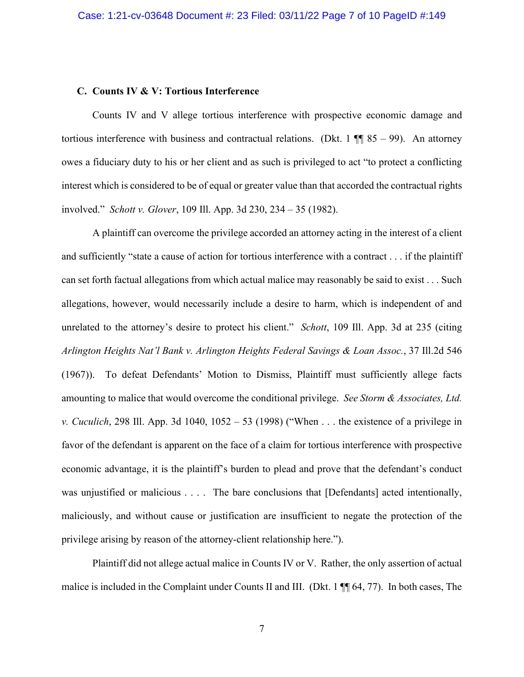### **C. Counts IV & V: Tortious Interference**

Counts IV and V allege tortious interference with prospective economic damage and tortious interference with business and contractual relations. (Dkt. 1  $\P$  85 – 99). An attorney owes a fiduciary duty to his or her client and as such is privileged to act "to protect a conflicting interest which is considered to be of equal or greater value than that accorded the contractual rights involved." *Schott v. Glover*, 109 Ill. App. 3d 230, 234 – 35 (1982).

A plaintiff can overcome the privilege accorded an attorney acting in the interest of a client and sufficiently "state a cause of action for tortious interference with a contract . . . if the plaintiff can set forth factual allegations from which actual malice may reasonably be said to exist . . . Such allegations, however, would necessarily include a desire to harm, which is independent of and unrelated to the attorney's desire to protect his client." *Schott*, 109 Ill. App. 3d at 235 (citing *Arlington Heights Nat'l Bank v. Arlington Heights Federal Savings & Loan Assoc.*, 37 Ill.2d 546 (1967)). To defeat Defendants' Motion to Dismiss, Plaintiff must sufficiently allege facts amounting to malice that would overcome the conditional privilege. *See Storm & Associates, Ltd. v. Cuculich*, 298 Ill. App. 3d 1040, 1052 – 53 (1998) ("When . . . the existence of a privilege in favor of the defendant is apparent on the face of a claim for tortious interference with prospective economic advantage, it is the plaintiff's burden to plead and prove that the defendant's conduct was unjustified or malicious . . . . The bare conclusions that [Defendants] acted intentionally, maliciously, and without cause or justification are insufficient to negate the protection of the privilege arising by reason of the attorney-client relationship here.").

Plaintiff did not allege actual malice in Counts IV or V. Rather, the only assertion of actual malice is included in the Complaint under Counts II and III. (Dkt. 1  $\P$  64, 77). In both cases, The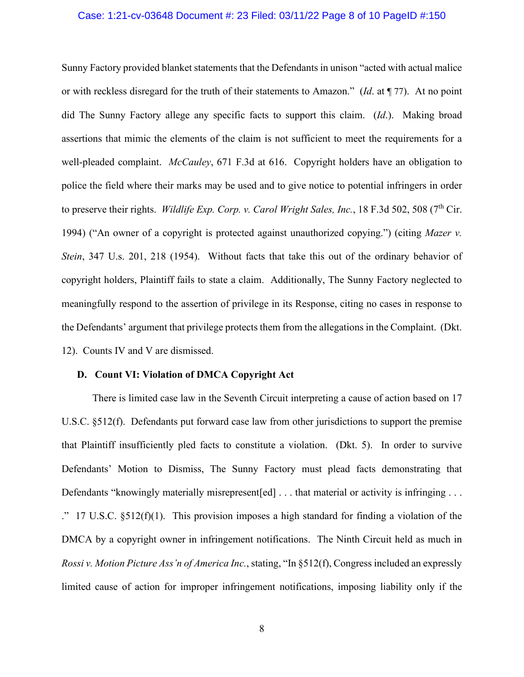### Case: 1:21-cv-03648 Document #: 23 Filed: 03/11/22 Page 8 of 10 PageID #:150

Sunny Factory provided blanket statements that the Defendants in unison "acted with actual malice or with reckless disregard for the truth of their statements to Amazon." (*Id*. at ¶ 77). At no point did The Sunny Factory allege any specific facts to support this claim. (*Id*.).Making broad assertions that mimic the elements of the claim is not sufficient to meet the requirements for a well-pleaded complaint. *McCauley*, 671 F.3d at 616. Copyright holders have an obligation to police the field where their marks may be used and to give notice to potential infringers in order to preserve their rights. *Wildlife Exp. Corp. v. Carol Wright Sales, Inc.*, 18 F.3d 502, 508 (7<sup>th</sup> Cir. 1994) ("An owner of a copyright is protected against unauthorized copying.") (citing *Mazer v. Stein*, 347 U.s. 201, 218 (1954). Without facts that take this out of the ordinary behavior of copyright holders, Plaintiff fails to state a claim. Additionally, The Sunny Factory neglected to meaningfully respond to the assertion of privilege in its Response, citing no cases in response to the Defendants' argument that privilege protects them from the allegations in the Complaint. (Dkt. 12).Counts IV and V are dismissed.

#### **D. Count VI: Violation of DMCA Copyright Act**

There is limited case law in the Seventh Circuit interpreting a cause of action based on 17 U.S.C. §512(f). Defendants put forward case law from other jurisdictions to support the premise that Plaintiff insufficiently pled facts to constitute a violation. (Dkt. 5). In order to survive Defendants' Motion to Dismiss, The Sunny Factory must plead facts demonstrating that Defendants "knowingly materially misrepresent [ed] ... that material or activity is infringing ... ." 17 U.S.C. §512(f)(1). This provision imposes a high standard for finding a violation of the DMCA by a copyright owner in infringement notifications. The Ninth Circuit held as much in *Rossi v. Motion Picture Ass'n of America Inc.*, stating, "In §512(f), Congress included an expressly limited cause of action for improper infringement notifications, imposing liability only if the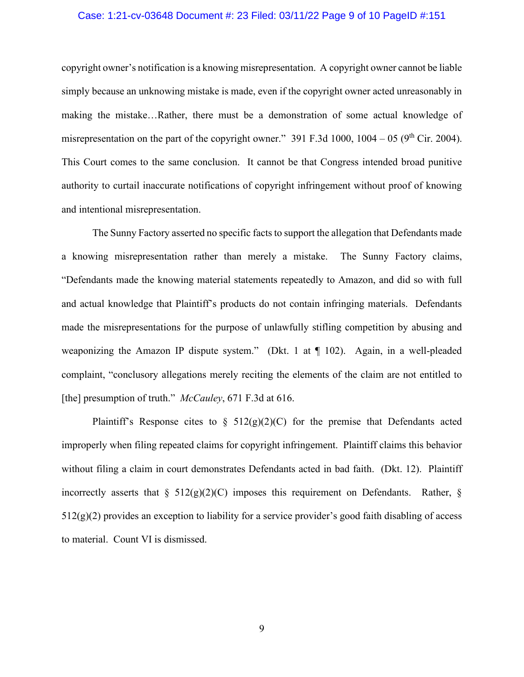### Case: 1:21-cv-03648 Document #: 23 Filed: 03/11/22 Page 9 of 10 PageID #:151

copyright owner's notification is a knowing misrepresentation. A copyright owner cannot be liable simply because an unknowing mistake is made, even if the copyright owner acted unreasonably in making the mistake…Rather, there must be a demonstration of some actual knowledge of misrepresentation on the part of the copyright owner." 391 F.3d 1000, 1004 – 05 ( $9<sup>th</sup>$  Cir. 2004). This Court comes to the same conclusion. It cannot be that Congress intended broad punitive authority to curtail inaccurate notifications of copyright infringement without proof of knowing and intentional misrepresentation.

The Sunny Factory asserted no specific facts to support the allegation that Defendants made a knowing misrepresentation rather than merely a mistake. The Sunny Factory claims, "Defendants made the knowing material statements repeatedly to Amazon, and did so with full and actual knowledge that Plaintiff's products do not contain infringing materials. Defendants made the misrepresentations for the purpose of unlawfully stifling competition by abusing and weaponizing the Amazon IP dispute system." (Dkt. 1 at ¶ 102). Again, in a well-pleaded complaint, "conclusory allegations merely reciting the elements of the claim are not entitled to [the] presumption of truth." *McCauley*, 671 F.3d at 616.

Plaintiff's Response cites to  $\S$  512(g)(2)(C) for the premise that Defendants acted improperly when filing repeated claims for copyright infringement. Plaintiff claims this behavior without filing a claim in court demonstrates Defendants acted in bad faith. (Dkt. 12). Plaintiff incorrectly asserts that  $\S$  512(g)(2)(C) imposes this requirement on Defendants. Rather,  $\S$  $512(g)(2)$  provides an exception to liability for a service provider's good faith disabling of access to material. Count VI is dismissed.